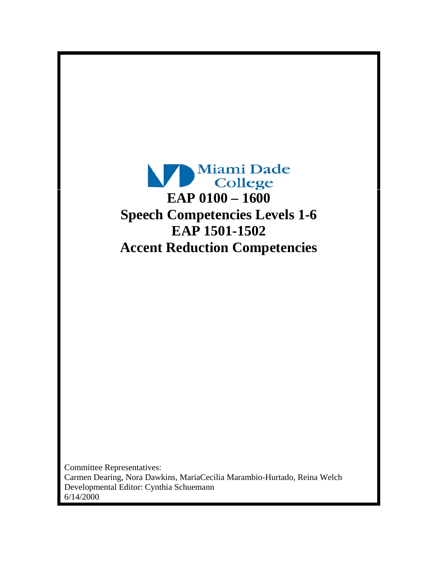

Committee Representatives: Carmen Dearing, Nora Dawkins, MariaCecilia Marambio-Hurtado, Reina Welch Developmental Editor: Cynthia Schuemann 6/14/2000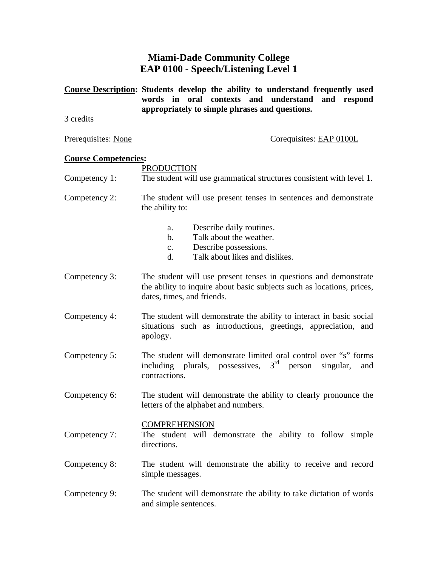### **Miami-Dade Community College EAP 0100 - Speech/Listening Level 1**

**Course Description: Students develop the ability to understand frequently used words in oral contexts and understand and respond appropriately to simple phrases and questions.**

3 credits

Prerequisites: None Corequisites: EAP 0100L

#### **Course Competencies:**

PRODUCTION Competency 1: The student will use grammatical structures consistent with level 1. Competency 2: The student will use present tenses in sentences and demonstrate the ability to: a. Describe daily routines. b. Talk about the weather. c. Describe possessions. d. Talk about likes and dislikes. Competency 3: The student will use present tenses in questions and demonstrate the ability to inquire about basic subjects such as locations, prices, dates, times, and friends. Competency 4: The student will demonstrate the ability to interact in basic social situations such as introductions, greetings, appreciation, and apology. Competency 5: The student will demonstrate limited oral control over "s" forms including plurals, possessives,  $3<sup>rd</sup>$  person singular, and contractions. Competency 6: The student will demonstrate the ability to clearly pronounce the letters of the alphabet and numbers. COMPREHENSION Competency 7: The student will demonstrate the ability to follow simple directions. Competency 8: The student will demonstrate the ability to receive and record simple messages. Competency 9: The student will demonstrate the ability to take dictation of words

and simple sentences.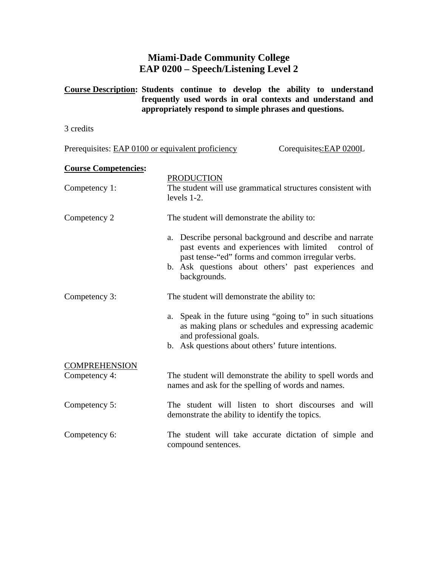# **Miami-Dade Community College EAP 0200 – Speech/Listening Level 2**

### **Course Description: Students continue to develop the ability to understand frequently used words in oral contexts and understand and appropriately respond to simple phrases and questions.**

3 credits

| Prerequisites: EAP 0100 or equivalent proficiency | Corequisites:EAP 0200L                                                                                                                                                                                                                         |
|---------------------------------------------------|------------------------------------------------------------------------------------------------------------------------------------------------------------------------------------------------------------------------------------------------|
| <b>Course Competencies:</b>                       |                                                                                                                                                                                                                                                |
| Competency 1:                                     | <b>PRODUCTION</b><br>The student will use grammatical structures consistent with<br>levels $1-2$ .                                                                                                                                             |
| Competency 2                                      | The student will demonstrate the ability to:                                                                                                                                                                                                   |
|                                                   | a. Describe personal background and describe and narrate<br>past events and experiences with limited<br>control of<br>past tense-"ed" forms and common irregular verbs.<br>b. Ask questions about others' past experiences and<br>backgrounds. |
| Competency 3:                                     | The student will demonstrate the ability to:                                                                                                                                                                                                   |
|                                                   | Speak in the future using "going to" in such situations<br>a.<br>as making plans or schedules and expressing academic<br>and professional goals.<br>b. Ask questions about others' future intentions.                                          |
| <b>COMPREHENSION</b><br>Competency 4:             | The student will demonstrate the ability to spell words and<br>names and ask for the spelling of words and names.                                                                                                                              |
| Competency 5:                                     | The student will listen to short discourses and will<br>demonstrate the ability to identify the topics.                                                                                                                                        |
| Competency 6:                                     | The student will take accurate dictation of simple and<br>compound sentences.                                                                                                                                                                  |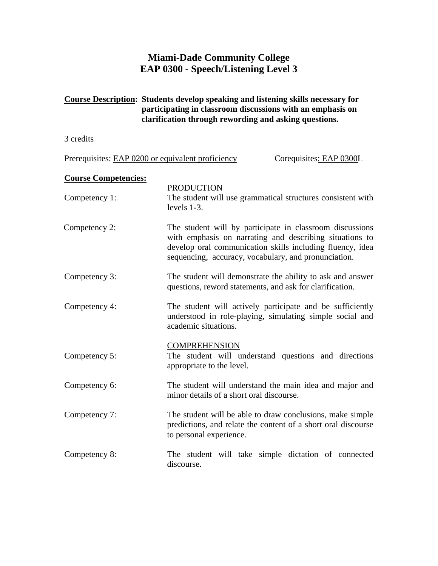# **Miami-Dade Community College EAP 0300 - Speech/Listening Level 3**

#### **Course Description: Students develop speaking and listening skills necessary for participating in classroom discussions with an emphasis on clarification through rewording and asking questions.**

3 credits

| Prerequisites: EAP 0200 or equivalent proficiency |  | Corequisites: EAP 0300L |
|---------------------------------------------------|--|-------------------------|
|                                                   |  |                         |

#### **Course Competencies:**

| Competency 1: | <b>PRODUCTION</b><br>The student will use grammatical structures consistent with<br>levels 1-3.                                                                                                                                          |
|---------------|------------------------------------------------------------------------------------------------------------------------------------------------------------------------------------------------------------------------------------------|
| Competency 2: | The student will by participate in classroom discussions<br>with emphasis on narrating and describing situations to<br>develop oral communication skills including fluency, idea<br>sequencing, accuracy, vocabulary, and pronunciation. |
| Competency 3: | The student will demonstrate the ability to ask and answer<br>questions, reword statements, and ask for clarification.                                                                                                                   |
| Competency 4: | The student will actively participate and be sufficiently<br>understood in role-playing, simulating simple social and<br>academic situations.                                                                                            |
| Competency 5: | <b>COMPREHENSION</b><br>The student will understand questions and directions<br>appropriate to the level.                                                                                                                                |
| Competency 6: | The student will understand the main idea and major and<br>minor details of a short oral discourse.                                                                                                                                      |
| Competency 7: | The student will be able to draw conclusions, make simple<br>predictions, and relate the content of a short oral discourse<br>to personal experience.                                                                                    |
| Competency 8: | The student will take simple dictation of connected<br>discourse.                                                                                                                                                                        |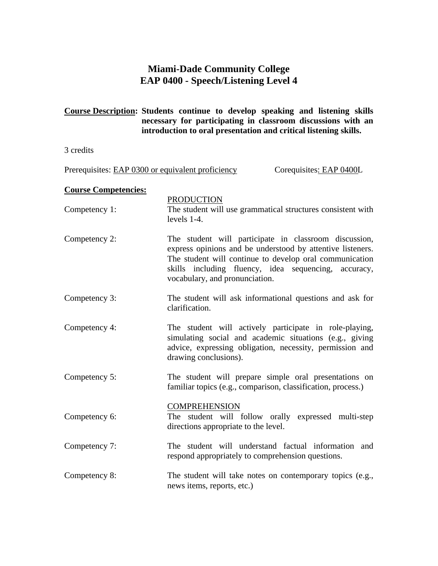### **Miami-Dade Community College EAP 0400 - Speech/Listening Level 4**

**Course Description: Students continue to develop speaking and listening skills necessary for participating in classroom discussions with an introduction to oral presentation and critical listening skills.** 

3 credits

Prerequisites: EAP 0300 or equivalent proficiency Corequisites: EAP 0400L

#### **Course Competencies:**

| Competency 1: | <b>PRODUCTION</b><br>The student will use grammatical structures consistent with<br>levels $1-4$ .                                                                                                                                                                       |
|---------------|--------------------------------------------------------------------------------------------------------------------------------------------------------------------------------------------------------------------------------------------------------------------------|
| Competency 2: | The student will participate in classroom discussion,<br>express opinions and be understood by attentive listeners.<br>The student will continue to develop oral communication<br>skills including fluency, idea sequencing, accuracy,<br>vocabulary, and pronunciation. |
| Competency 3: | The student will ask informational questions and ask for<br>clarification.                                                                                                                                                                                               |
| Competency 4: | The student will actively participate in role-playing,<br>simulating social and academic situations (e.g., giving<br>advice, expressing obligation, necessity, permission and<br>drawing conclusions).                                                                   |
| Competency 5: | The student will prepare simple oral presentations on<br>familiar topics (e.g., comparison, classification, process.)                                                                                                                                                    |
| Competency 6: | <b>COMPREHENSION</b><br>The student will follow orally expressed multi-step<br>directions appropriate to the level.                                                                                                                                                      |
| Competency 7: | The student will understand factual information and<br>respond appropriately to comprehension questions.                                                                                                                                                                 |
| Competency 8: | The student will take notes on contemporary topics (e.g.,<br>news items, reports, etc.)                                                                                                                                                                                  |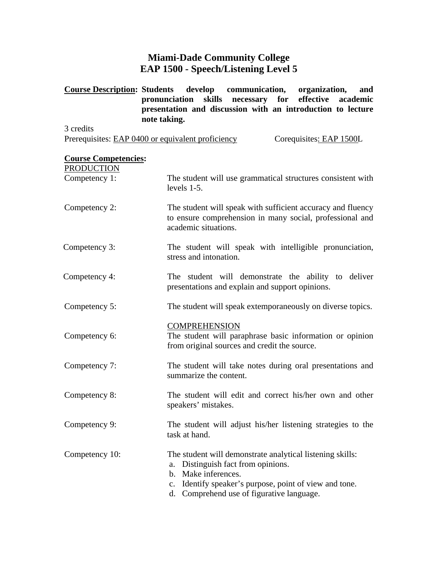### **Miami-Dade Community College EAP 1500 - Speech/Listening Level 5**

**Course Description: Students develop communication, organization, and pronunciation skills necessary for effective academic presentation and discussion with an introduction to lecture note taking.**

3 credits Prerequisites: EAP 0400 or equivalent proficiency Corequisites: EAP 1500L

#### **Course Competencies:**

| <b>PRODUCTION</b><br>Competency 1: | The student will use grammatical structures consistent with                                                                                                                                                                   |
|------------------------------------|-------------------------------------------------------------------------------------------------------------------------------------------------------------------------------------------------------------------------------|
|                                    | levels $1-5$ .                                                                                                                                                                                                                |
| Competency 2:                      | The student will speak with sufficient accuracy and fluency<br>to ensure comprehension in many social, professional and<br>academic situations.                                                                               |
| Competency 3:                      | The student will speak with intelligible pronunciation,<br>stress and intonation.                                                                                                                                             |
| Competency 4:                      | The student will demonstrate the ability to deliver<br>presentations and explain and support opinions.                                                                                                                        |
| Competency 5:                      | The student will speak extemporaneously on diverse topics.                                                                                                                                                                    |
| Competency 6:                      | <b>COMPREHENSION</b><br>The student will paraphrase basic information or opinion<br>from original sources and credit the source.                                                                                              |
| Competency 7:                      | The student will take notes during oral presentations and<br>summarize the content.                                                                                                                                           |
| Competency 8:                      | The student will edit and correct his/her own and other<br>speakers' mistakes.                                                                                                                                                |
| Competency 9:                      | The student will adjust his/her listening strategies to the<br>task at hand.                                                                                                                                                  |
| Competency 10:                     | The student will demonstrate analytical listening skills:<br>a. Distinguish fact from opinions.<br>b. Make inferences.<br>c. Identify speaker's purpose, point of view and tone.<br>d. Comprehend use of figurative language. |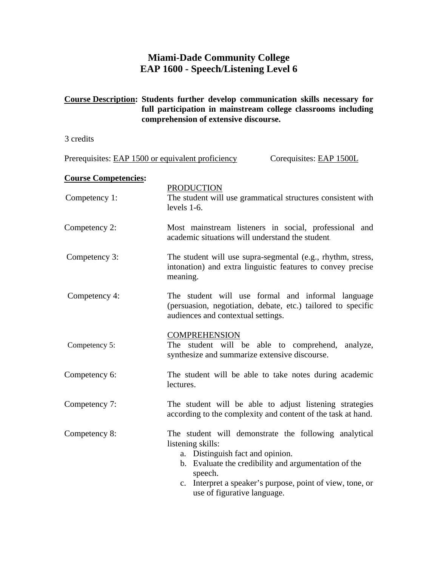# **Miami-Dade Community College EAP 1600 - Speech/Listening Level 6**

#### **Course Description: Students further develop communication skills necessary for full participation in mainstream college classrooms including comprehension of extensive discourse.**

3 credits

| o cicuito                                                                    |                                                                                                                                                                                                                                                                               |
|------------------------------------------------------------------------------|-------------------------------------------------------------------------------------------------------------------------------------------------------------------------------------------------------------------------------------------------------------------------------|
| Prerequisites: EAP 1500 or equivalent proficiency<br>Corequisites: EAP 1500L |                                                                                                                                                                                                                                                                               |
| <b>Course Competencies:</b><br>Competency 1:                                 | <b>PRODUCTION</b><br>The student will use grammatical structures consistent with<br>levels $1-6$ .                                                                                                                                                                            |
| Competency 2:                                                                | Most mainstream listeners in social, professional and<br>academic situations will understand the student.                                                                                                                                                                     |
| Competency 3:                                                                | The student will use supra-segmental (e.g., rhythm, stress,<br>intonation) and extra linguistic features to convey precise<br>meaning.                                                                                                                                        |
| Competency 4:                                                                | The student will use formal and informal language<br>(persuasion, negotiation, debate, etc.) tailored to specific<br>audiences and contextual settings.                                                                                                                       |
| Competency 5:                                                                | <b>COMPREHENSION</b><br>The student will be able to comprehend,<br>analyze,<br>synthesize and summarize extensive discourse.                                                                                                                                                  |
| Competency 6:                                                                | The student will be able to take notes during academic<br>lectures.                                                                                                                                                                                                           |
| Competency 7:                                                                | The student will be able to adjust listening strategies<br>according to the complexity and content of the task at hand.                                                                                                                                                       |
| Competency 8:                                                                | The student will demonstrate the following analytical<br>listening skills:<br>a. Distinguish fact and opinion.<br>b. Evaluate the credibility and argumentation of the<br>speech.<br>c. Interpret a speaker's purpose, point of view, tone, or<br>use of figurative language. |